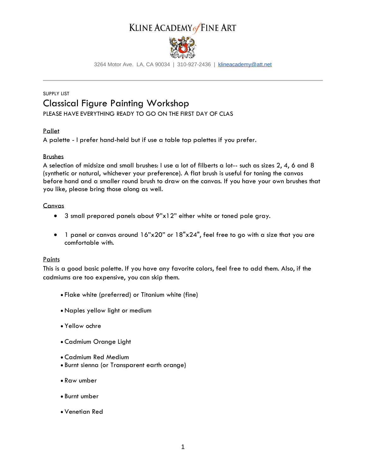# KLINE ACADEMY of FINE ART



3264 Motor Ave. LA, CA 90034 | 310-927-2436 | [klineacademy@att.net](mailto:klineacademy@att.net)

## SUPPLY LIST Classical Figure Painting Workshop

PLEASE HAVE EVERYTHING READY TO GO ON THE FIRST DAY OF CLAS

### Pallet

A palette - I prefer hand-held but if use a table top palettes if you prefer.

#### Brushes

A selection of midsize and small brushes: I use a lot of filberts a lot-- such as sizes 2, 4, 6 and 8 (synthetic or natural, whichever your preference). A flat brush is useful for toning the canvas before hand and a smaller round brush to draw on the canvas. If you have your own brushes that you like, please bring those along as well.

#### Canvas

- 3 small prepared panels about 9"x12" either white or toned pale gray.
- 1 panel or canvas around 16"x20" or 18"x24", feel free to go with a size that you are comfortable with.

### **Paints**

This is a good basic palette. If you have any favorite colors, feel free to add them. Also, if the cadmiums are too expensive, you can skip them.

- Flake white (preferred) or Titanium white (fine)
- Naples yellow light or medium
- Yellow ochre
- Cadmium Orange Light
- Cadmium Red Medium
- Burnt sienna (or Transparent earth orange)
- Raw umber
- Burnt umber
- Venetian Red